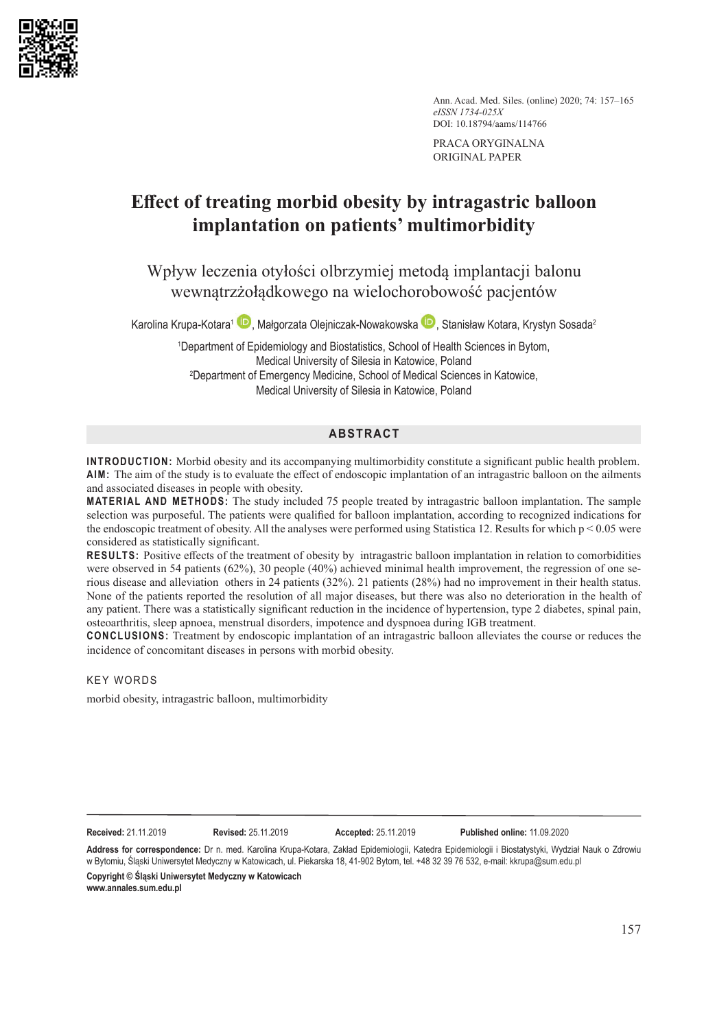

Ann. Acad. Med. Siles. (online) 2020; 74: 157–165 *eISSN 1734-025X* DOI: 10.18794/aams/114766

PRACA ORYGINALNA ORIGINAL PAPER

# **Effect of treating morbid obesity by intragastric balloon implantation on patients' multimorbidity**

Wpływ leczenia otyłości olbrzymiej metodą implantacji balonu wewnątrzżołądkowego na wielochorobowość pacjentów

Karolina Krupa-Kotara<sup>1</sup> **D**[,](https://orcid.org/0000-0002-9827-504X) Małgorzata Olejniczak-Nowakowska **D**, Stanisław Kotara, Krystyn Sosada<sup>2</sup>

1 Department of Epidemiology and Biostatistics, School of Health Sciences in Bytom, Medical University of Silesia in Katowice, Poland 2 Department of Emergency Medicine, School of Medical Sciences in Katowice, Medical University of Silesia in Katowice, Poland

# **ABSTRACT**

**INTRODUCTION:** Morbid obesity and its accompanying multimorbidity constitute a significant public health problem. **AIM:** The aim of the study is to evaluate the effect of endoscopic implantation of an intragastric balloon on the ailments and associated diseases in people with obesity.

**MATERIAL AND METHODS:** The study included 75 people treated by intragastric balloon implantation. The sample selection was purposeful. The patients were qualified for balloon implantation, according to recognized indications for the endoscopic treatment of obesity. All the analyses were performed using Statistica 12. Results for which  $p < 0.05$  were considered as statistically significant.

**RESULTS:** Positive effects of the treatment of obesity by intragastric balloon implantation in relation to comorbidities were observed in 54 patients (62%), 30 people (40%) achieved minimal health improvement, the regression of one serious disease and alleviation others in 24 patients (32%). 21 patients (28%) had no improvement in their health status. None of the patients reported the resolution of all major diseases, but there was also no deterioration in the health of any patient. There was a statistically significant reduction in the incidence of hypertension, type 2 diabetes, spinal pain, osteoarthritis, sleep apnoea, menstrual disorders, impotence and dyspnoea during IGB treatment.

**CONCLUSIONS:** Treatment by endoscopic implantation of an intragastric balloon alleviates the course or reduces the incidence of concomitant diseases in persons with morbid obesity.

KEY WORDS

morbid obesity, intragastric balloon, multimorbidity

**Received:** 21.11.2019 **Revised:** 25.11.2019 **Accepted:** 25.11.2019 **Published online:** 11.09.2020

**Address for correspondence:** Dr n. med. Karolina Krupa-Kotara, Zakład Epidemiologii, Katedra Epidemiologii i Biostatystyki, Wydział Nauk o Zdrowiu w Bytomiu, Śląski Uniwersytet Medyczny w Katowicach, ul. Piekarska 18, 41-902 Bytom, tel. +48 32 39 76 532, e-mail: kkrupa@sum.edu.pl **Copyright © Śląski Uniwersytet Medyczny w Katowicach www.annales.sum.edu.pl**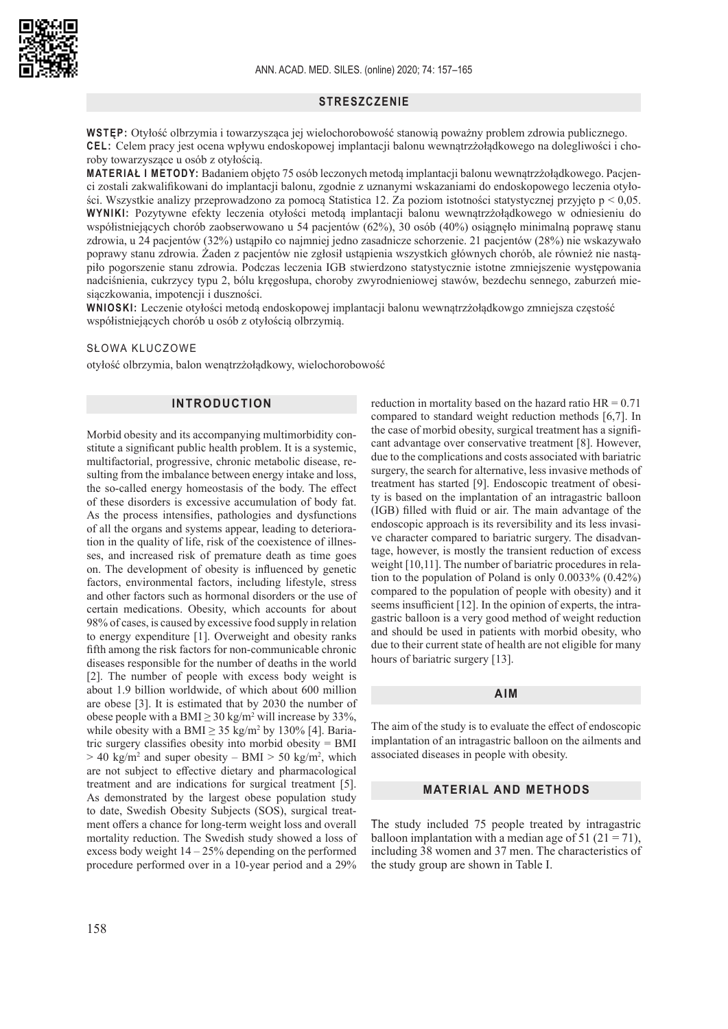

## **STRESZCZENIE**

**WSTĘP:** Otyłość olbrzymia i towarzysząca jej wielochorobowość stanowią poważny problem zdrowia publicznego. **CEL:** Celem pracy jest ocena wpływu endoskopowej implantacji balonu wewnątrzżołądkowego na dolegliwości i choroby towarzyszące u osób z otyłością.

**MATERIAŁ I METODY:** Badaniem objęto 75 osób leczonych metodą implantacji balonu wewnątrzżołądkowego. Pacjenci zostali zakwalifikowani do implantacji balonu, zgodnie z uznanymi wskazaniami do endoskopowego leczenia otyłości. Wszystkie analizy przeprowadzono za pomocą Statistica 12. Za poziom istotności statystycznej przyjęto p < 0,05. **WYNIKI:** Pozytywne efekty leczenia otyłości metodą implantacji balonu wewnątrzżołądkowego w odniesieniu do współistniejących chorób zaobserwowano u 54 pacjentów (62%), 30 osób (40%) osiągnęło minimalną poprawę stanu zdrowia, u 24 pacjentów (32%) ustąpiło co najmniej jedno zasadnicze schorzenie. 21 pacjentów (28%) nie wskazywało poprawy stanu zdrowia. Żaden z pacjentów nie zgłosił ustąpienia wszystkich głównych chorób, ale również nie nastąpiło pogorszenie stanu zdrowia. Podczas leczenia IGB stwierdzono statystycznie istotne zmniejszenie występowania nadciśnienia, cukrzycy typu 2, bólu kręgosłupa, choroby zwyrodnieniowej stawów, bezdechu sennego, zaburzeń miesiączkowania, impotencji i duszności.

**WNIOSKI:** Leczenie otyłości metodą endoskopowej implantacji balonu wewnątrzżołądkowgo zmniejsza częstość współistniejących chorób u osób z otyłością olbrzymią.

## SŁOWA KLUCZOWE

otyłość olbrzymia, balon wenątrzżołądkowy, wielochorobowość

## **INTRODUCTION**

Morbid obesity and its accompanying multimorbidity constitute a significant public health problem. It is a systemic, multifactorial, progressive, chronic metabolic disease, resulting from the imbalance between energy intake and loss, the so-called energy homeostasis of the body. The effect of these disorders is excessive accumulation of body fat. As the process intensifies, pathologies and dysfunctions of all the organs and systems appear, leading to deterioration in the quality of life, risk of the coexistence of illnesses, and increased risk of premature death as time goes on. The development of obesity is influenced by genetic factors, environmental factors, including lifestyle, stress and other factors such as hormonal disorders or the use of certain medications. Obesity, which accounts for about 98% of cases, is caused by excessive food supply in relation to energy expenditure [1]. Overweight and obesity ranks fifth among the risk factors for non-communicable chronic diseases responsible for the number of deaths in the world [2]. The number of people with excess body weight is about 1.9 billion worldwide, of which about 600 million are obese [3]. It is estimated that by 2030 the number of obese people with a BMI  $\geq$  30 kg/m<sup>2</sup> will increase by 33%, while obesity with a BMI  $\geq$  35 kg/m<sup>2</sup> by 130% [4]. Bariatric surgery classifies obesity into morbid obesity = BMI  $> 40 \text{ kg/m}^2$  and super obesity – BMI  $> 50 \text{ kg/m}^2$ , which are not subject to effective dietary and pharmacological treatment and are indications for surgical treatment [5]. As demonstrated by the largest obese population study to date, Swedish Obesity Subjects (SOS), surgical treatment offers a chance for long-term weight loss and overall mortality reduction. The Swedish study showed a loss of excess body weight  $14 - 25%$  depending on the performed procedure performed over in a 10-year period and a 29%

reduction in mortality based on the hazard ratio  $HR = 0.71$ compared to standard weight reduction methods [6,7]. In the case of morbid obesity, surgical treatment has a significant advantage over conservative treatment [8]. However, due to the complications and costs associated with bariatric surgery, the search for alternative, less invasive methods of treatment has started [9]. Endoscopic treatment of obesity is based on the implantation of an intragastric balloon (IGB) filled with fluid or air. The main advantage of the endoscopic approach is its reversibility and its less invasive character compared to bariatric surgery. The disadvantage, however, is mostly the transient reduction of excess weight [10,11]. The number of bariatric procedures in relation to the population of Poland is only 0.0033% (0.42%) compared to the population of people with obesity) and it seems insufficient [12]. In the opinion of experts, the intragastric balloon is a very good method of weight reduction and should be used in patients with morbid obesity, who due to their current state of health are not eligible for many hours of bariatric surgery [13].

#### **AIM**

The aim of the study is to evaluate the effect of endoscopic implantation of an intragastric balloon on the ailments and associated diseases in people with obesity.

## **MATERIAL AND METHODS**

The study included 75 people treated by intragastric balloon implantation with a median age of 51 (21 = 71), including 38 women and 37 men. The characteristics of the study group are shown in Table I.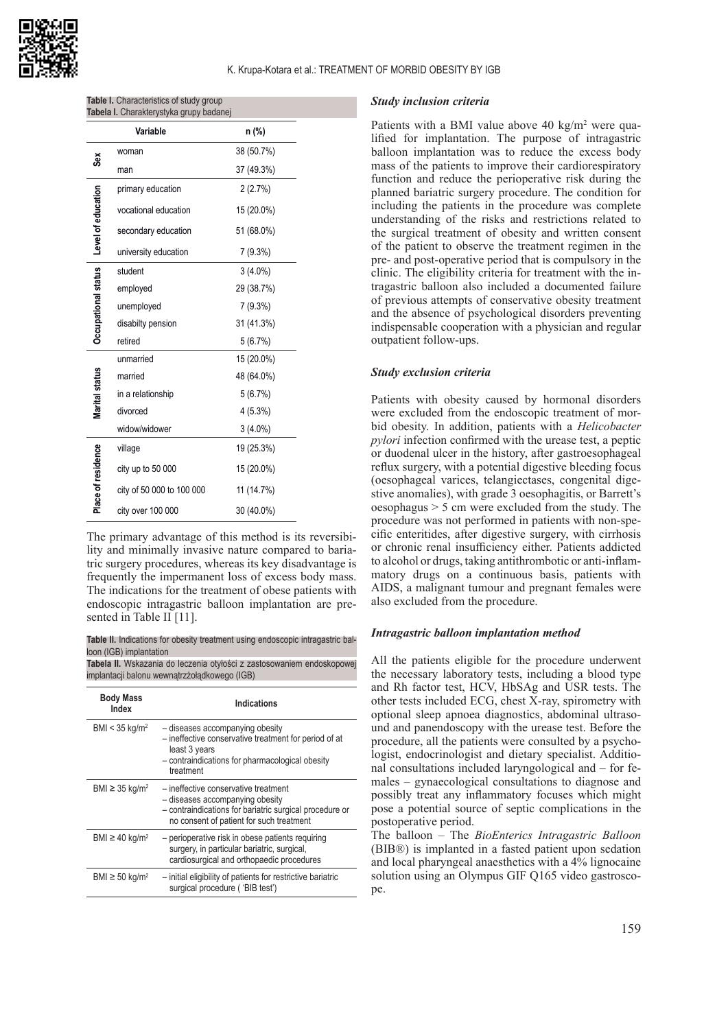

| <b>Table I.</b> Characteristics of study group |  |
|------------------------------------------------|--|
| Tabela I. Charakterystyka grupy badanej        |  |

|                                          | Variable                  | n (%)      |
|------------------------------------------|---------------------------|------------|
| Šĕ                                       | woman                     | 38 (50.7%) |
|                                          | man                       | 37 (49.3%) |
| Occupational status   Level of education | primary education         | 2(2.7%)    |
|                                          | vocational education      | 15 (20.0%) |
|                                          | secondary education       | 51 (68.0%) |
|                                          | university education      | 7 (9.3%)   |
|                                          | student                   | $3(4.0\%)$ |
|                                          | employed                  | 29 (38.7%) |
|                                          | unemployed                | 7 (9.3%)   |
|                                          | disabilty pension         | 31 (41.3%) |
|                                          | retired                   | 5(6.7%)    |
|                                          | unmarried                 | 15 (20.0%) |
|                                          | married                   | 48 (64.0%) |
| Marital status                           | in a relationship         | 5(6.7%)    |
|                                          | divorced                  | 4(5.3%)    |
|                                          | widow/widower             | $3(4.0\%)$ |
|                                          | village                   | 19 (25.3%) |
| Place of residence                       | city up to 50 000         | 15 (20.0%) |
|                                          | city of 50 000 to 100 000 | 11 (14.7%) |
|                                          | city over 100 000         | 30 (40.0%) |

The primary advantage of this method is its reversibility and minimally invasive nature compared to bariatric surgery procedures, whereas its key disadvantage is frequently the impermanent loss of excess body mass. The indications for the treatment of obese patients with endoscopic intragastric balloon implantation are presented in Table II [11].

**Table II.** Indications for obesity treatment using endoscopic intragastric balloon (IGB) implantation

**Tabela II.** Wskazania do leczenia otyłości z zastosowaniem endoskopowej implantacji balonu wewnątrzżołądkowego (IGB)

| <b>Body Mass</b><br>Index       | Indications                                                                                                                                                                    |
|---------------------------------|--------------------------------------------------------------------------------------------------------------------------------------------------------------------------------|
| BMI < $35 \text{ kg/m}^2$       | - diseases accompanying obesity<br>- ineffective conservative treatment for period of at<br>least 3 years<br>- contraindications for pharmacological obesity<br>treatment      |
| BMI $\geq$ 35 kg/m <sup>2</sup> | - ineffective conservative treatment<br>- diseases accompanying obesity<br>- contraindications for bariatric surgical procedure or<br>no consent of patient for such treatment |
| BMI $\geq$ 40 kg/m <sup>2</sup> | - perioperative risk in obese patients requiring<br>surgery, in particular bariatric, surgical,<br>cardiosurgical and orthopaedic procedures                                   |
| BMI $\geq$ 50 kg/m <sup>2</sup> | - initial eligibility of patients for restrictive bariatric<br>surgical procedure ('BIB test')                                                                                 |

#### *Study inclusion criteria*

Patients with a BMI value above  $40 \text{ kg/m}^2$  were qualified for implantation. The purpose of intragastric balloon implantation was to reduce the excess body mass of the patients to improve their cardiorespiratory function and reduce the perioperative risk during the planned bariatric surgery procedure. The condition for including the patients in the procedure was complete understanding of the risks and restrictions related to the surgical treatment of obesity and written consent of the patient to observe the treatment regimen in the pre- and post-operative period that is compulsory in the clinic. The eligibility criteria for treatment with the intragastric balloon also included a documented failure of previous attempts of conservative obesity treatment and the absence of psychological disorders preventing indispensable cooperation with a physician and regular outpatient follow-ups.

#### *Study exclusion criteria*

Patients with obesity caused by hormonal disorders were excluded from the endoscopic treatment of morbid obesity. In addition, patients with a *Helicobacter pylori* infection confirmed with the urease test, a peptic or duodenal ulcer in the history, after gastroesophageal reflux surgery, with a potential digestive bleeding focus (oesophageal varices, telangiectases, congenital digestive anomalies), with grade 3 oesophagitis, or Barrett's oesophagus > 5 cm were excluded from the study. The procedure was not performed in patients with non-specific enteritides, after digestive surgery, with cirrhosis or chronic renal insufficiency either. Patients addicted to alcohol or drugs, taking antithrombotic or anti-inflammatory drugs on a continuous basis, patients with AIDS, a malignant tumour and pregnant females were also excluded from the procedure.

#### *Intragastric balloon implantation method*

All the patients eligible for the procedure underwent the necessary laboratory tests, including a blood type and Rh factor test, HCV, HbSAg and USR tests. The other tests included ECG, chest X-ray, spirometry with optional sleep apnoea diagnostics, abdominal ultrasound and panendoscopy with the urease test. Before the procedure, all the patients were consulted by a psychologist, endocrinologist and dietary specialist. Additional consultations included laryngological and – for females – gynaecological consultations to diagnose and possibly treat any inflammatory focuses which might pose a potential source of septic complications in the postoperative period.

The balloon – The *BioEnterics Intragastric Balloon* (BIB®) is implanted in a fasted patient upon sedation and local pharyngeal anaesthetics with a 4% lignocaine solution using an Olympus GIF Q165 video gastroscope.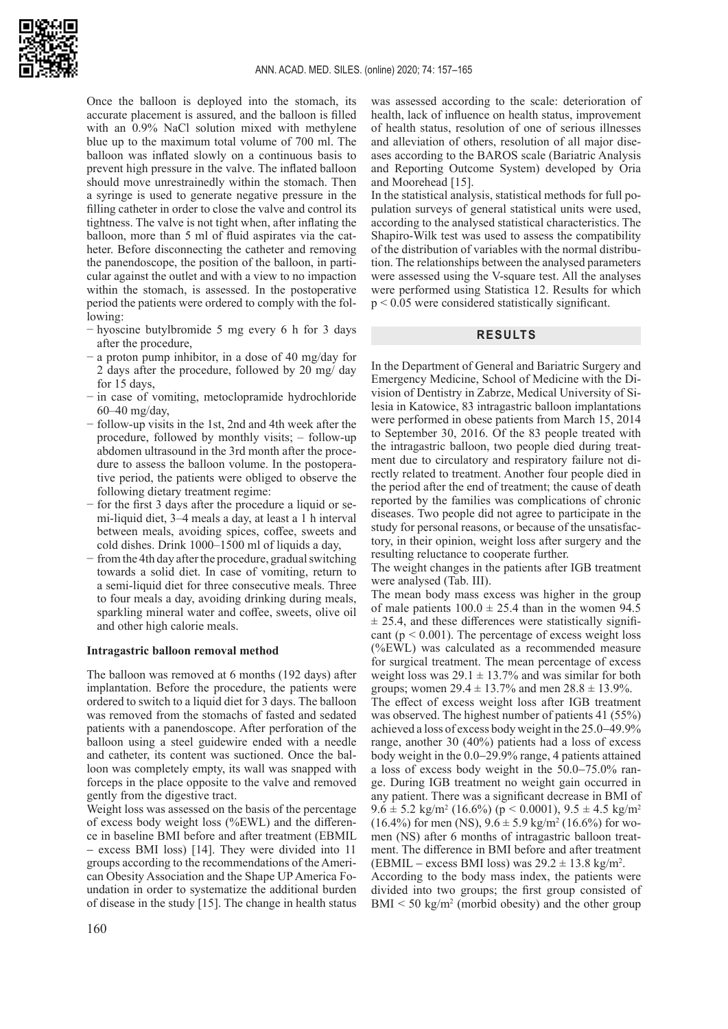

Once the balloon is deployed into the stomach, its accurate placement is assured, and the balloon is filled with an 0.9% NaCl solution mixed with methylene blue up to the maximum total volume of 700 ml. The balloon was inflated slowly on a continuous basis to prevent high pressure in the valve. The inflated balloon should move unrestrainedly within the stomach. Then a syringe is used to generate negative pressure in the filling catheter in order to close the valve and control its tightness. The valve is not tight when, after inflating the balloon, more than 5 ml of fluid aspirates via the catheter. Before disconnecting the catheter and removing the panendoscope, the position of the balloon, in particular against the outlet and with a view to no impaction within the stomach, is assessed. In the postoperative period the patients were ordered to comply with the following:

- − hyoscine butylbromide 5 mg every 6 h for 3 days after the procedure,
- − a proton pump inhibitor, in a dose of 40 mg/day for 2 days after the procedure, followed by 20 mg/ day for 15 days,
- − in case of vomiting, metoclopramide hydrochloride 60–40 mg/day,
- − follow-up visits in the 1st, 2nd and 4th week after the procedure, followed by monthly visits; – follow-up abdomen ultrasound in the 3rd month after the procedure to assess the balloon volume. In the postoperative period, the patients were obliged to observe the following dietary treatment regime:
- − for the first 3 days after the procedure a liquid or semi-liquid diet, 3–4 meals a day, at least a 1 h interval between meals, avoiding spices, coffee, sweets and cold dishes. Drink 1000–1500 ml of liquids a day,
- − from the 4th day after the procedure, gradual switching towards a solid diet. In case of vomiting, return to a semi-liquid diet for three consecutive meals. Three to four meals a day, avoiding drinking during meals, sparkling mineral water and coffee, sweets, olive oil and other high calorie meals.

### **Intragastric balloon removal method**

The balloon was removed at 6 months (192 days) after implantation. Before the procedure, the patients were ordered to switch to a liquid diet for 3 days. The balloon was removed from the stomachs of fasted and sedated patients with a panendoscope. After perforation of the balloon using a steel guidewire ended with a needle and catheter, its content was suctioned. Once the balloon was completely empty, its wall was snapped with forceps in the place opposite to the valve and removed gently from the digestive tract.

Weight loss was assessed on the basis of the percentage of excess body weight loss (%EWL) and the difference in baseline BMI before and after treatment (EBMIL − excess BMI loss) [14]. They were divided into 11 groups according to the recommendations of the American Obesity Association and the Shape UP America Foundation in order to systematize the additional burden of disease in the study [15]. The change in health status

was assessed according to the scale: deterioration of health, lack of influence on health status, improvement of health status, resolution of one of serious illnesses and alleviation of others, resolution of all major diseases according to the BAROS scale (Bariatric Analysis and Reporting Outcome System) developed by Oria and Moorehead [15].

In the statistical analysis, statistical methods for full population surveys of general statistical units were used, according to the analysed statistical characteristics. The Shapiro-Wilk test was used to assess the compatibility of the distribution of variables with the normal distribution. The relationships between the analysed parameters were assessed using the V-square test. All the analyses were performed using Statistica 12. Results for which p < 0.05 were considered statistically significant.

#### **RESULTS**

In the Department of General and Bariatric Surgery and Emergency Medicine, School of Medicine with the Division of Dentistry in Zabrze, Medical University of Silesia in Katowice, 83 intragastric balloon implantations were performed in obese patients from March 15, 2014 to September 30, 2016. Of the 83 people treated with the intragastric balloon, two people died during treatment due to circulatory and respiratory failure not directly related to treatment. Another four people died in the period after the end of treatment; the cause of death reported by the families was complications of chronic diseases. Two people did not agree to participate in the study for personal reasons, or because of the unsatisfactory, in their opinion, weight loss after surgery and the resulting reluctance to cooperate further.

The weight changes in the patients after IGB treatment were analysed (Tab. III).

The mean body mass excess was higher in the group of male patients  $100.0 \pm 25.4$  than in the women 94.5  $\pm$  25.4, and these differences were statistically significant ( $p < 0.001$ ). The percentage of excess weight loss (%EWL) was calculated as a recommended measure for surgical treatment. The mean percentage of excess weight loss was  $29.1 \pm 13.7\%$  and was similar for both groups; women  $29.4 \pm 13.7\%$  and men  $28.8 \pm 13.9\%$ . The effect of excess weight loss after IGB treatment was observed. The highest number of patients 41 (55%) achieved a loss of excess body weight in the 25.0−49.9% range, another 30 (40%) patients had a loss of excess body weight in the 0.0−29.9% range, 4 patients attained a loss of excess body weight in the 50.0−75.0% range. During IGB treatment no weight gain occurred in any patient. There was a significant decrease in BMI of  $9.6 \pm 5.2$  kg/m<sup>2</sup> (16.6%) (p < 0.0001),  $9.5 \pm 4.5$  kg/m<sup>2</sup>  $(16.4\%)$  for men (NS),  $9.6 \pm 5.9$  kg/m<sup>2</sup> (16.6%) for wo-

men (NS) after 6 months of intragastric balloon treatment. The difference in BMI before and after treatment  $(EBMIL - excess BMI loss)$  was  $29.2 \pm 13.8$  kg/m<sup>2</sup>.

According to the body mass index, the patients were divided into two groups; the first group consisted of  $BMI < 50 \text{ kg/m}^2$  (morbid obesity) and the other group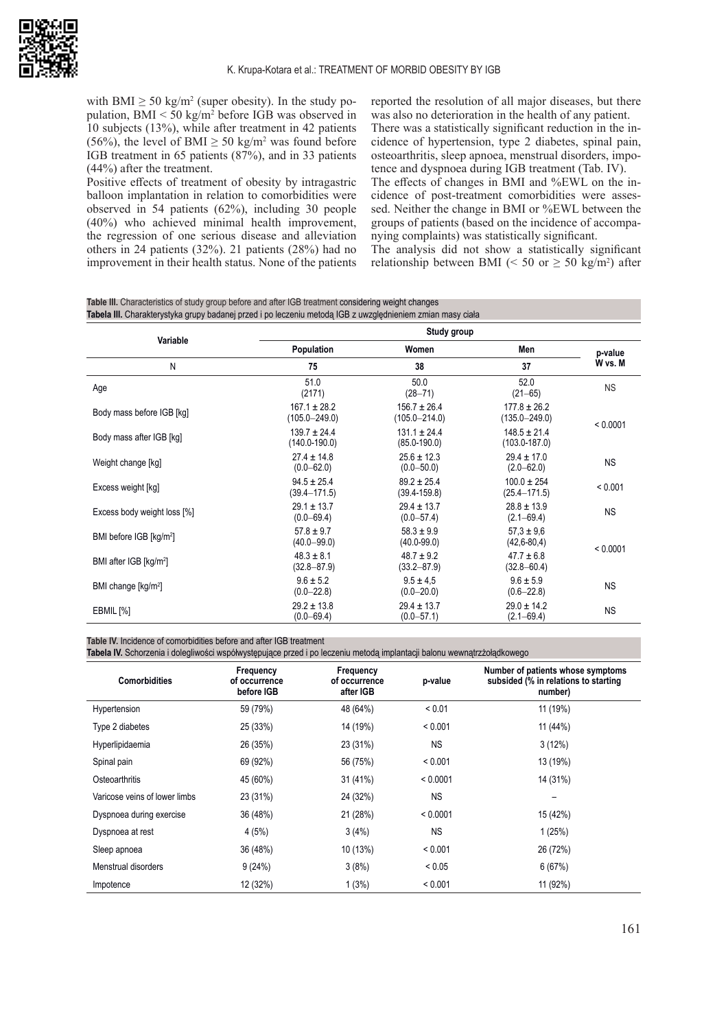

with BMI  $\geq$  50 kg/m<sup>2</sup> (super obesity). In the study population, BMI < 50 kg/m<sup>2</sup> before IGB was observed in 10 subjects (13%), while after treatment in 42 patients  $(56%)$ , the level of BMI  $\geq 50 \text{ kg/m}^2$  was found before IGB treatment in 65 patients (87%), and in 33 patients (44%) after the treatment.

Positive effects of treatment of obesity by intragastric balloon implantation in relation to comorbidities were observed in 54 patients (62%), including 30 people (40%) who achieved minimal health improvement, the regression of one serious disease and alleviation others in 24 patients (32%). 21 patients (28%) had no improvement in their health status. None of the patients reported the resolution of all major diseases, but there was also no deterioration in the health of any patient. There was a statistically significant reduction in the incidence of hypertension, type 2 diabetes, spinal pain, osteoarthritis, sleep apnoea, menstrual disorders, impotence and dyspnoea during IGB treatment (Tab. IV). The effects of changes in BMI and %EWL on the incidence of post-treatment comorbidities were assessed. Neither the change in BMI or %EWL between the

groups of patients (based on the incidence of accompanying complaints) was statistically significant. The analysis did not show a statistically significant relationship between BMI (< 50 or  $\geq$  50 kg/m<sup>2</sup>) after

**Table III.** Characteristics of study group before and after IGB treatment considering weight changes **Tabela III.** Charakterystyka grupy badanej przed i po leczeniu metodą IGB z uwzględnieniem zmian masy ciała

| Variable                            | Study group                           |                                       |                                       |           |  |
|-------------------------------------|---------------------------------------|---------------------------------------|---------------------------------------|-----------|--|
|                                     | Population                            | Women                                 | Men                                   | p-value   |  |
| N                                   | 75                                    | 38                                    | 37                                    | W vs. M   |  |
| Age                                 | 51.0<br>(2171)                        | 50.0<br>$(28 - 71)$                   | 52.0<br>$(21 - 65)$                   | <b>NS</b> |  |
| Body mass before IGB [kg]           | $167.1 \pm 28.2$<br>$(105.0 - 249.0)$ | $156.7 \pm 26.4$<br>$(105.0 - 214.0)$ | $177.8 \pm 26.2$<br>$(135.0 - 249.0)$ | < 0.0001  |  |
| Body mass after IGB [kg]            | $139.7 \pm 24.4$<br>$(140.0 - 190.0)$ | $131.1 \pm 24.4$<br>$(85.0 - 190.0)$  | $148.5 \pm 21.4$<br>$(103.0 - 187.0)$ |           |  |
| Weight change [kg]                  | $27.4 \pm 14.8$<br>$(0.0 - 62.0)$     | $25.6 \pm 12.3$<br>$(0.0 - 50.0)$     | $29.4 \pm 17.0$<br>$(2.0 - 62.0)$     | <b>NS</b> |  |
| Excess weight [kg]                  | $94.5 \pm 25.4$<br>$(39.4 - 171.5)$   | $89.2 \pm 25.4$<br>$(39.4 - 159.8)$   | $100.0 \pm 254$<br>$(25.4 - 171.5)$   | < 0.001   |  |
| Excess body weight loss [%]         | $29.1 \pm 13.7$<br>$(0.0 - 69.4)$     | $29.4 \pm 13.7$<br>$(0.0 - 57.4)$     | $28.8 \pm 13.9$<br>$(2.1 - 69.4)$     | <b>NS</b> |  |
| BMI before IGB [kg/m <sup>2</sup> ] | $57.8 \pm 9.7$<br>$(40.0 - 99.0)$     | $58.3 \pm 9.9$<br>$(40.0 - 99.0)$     | $57.3 \pm 9.6$<br>$(42, 6 - 80, 4)$   | < 0.0001  |  |
| BMI after IGB [kg/m <sup>2</sup> ]  | $48.3 \pm 8.1$<br>$(32.8 - 87.9)$     | $48.7 \pm 9.2$<br>$(33.2 - 87.9)$     | $47.7 \pm 6.8$<br>$(32.8 - 60.4)$     |           |  |
| BMI change [kg/m <sup>2</sup> ]     | $9.6 \pm 5.2$<br>$(0.0 - 22.8)$       | $9.5 \pm 4.5$<br>$(0.0 - 20.0)$       | $9.6 \pm 5.9$<br>$(0.6 - 22.8)$       | <b>NS</b> |  |
| EBMIL [%]                           | $29.2 \pm 13.8$<br>$(0.0 - 69.4)$     | $29.4 \pm 13.7$<br>$(0.0 - 57.1)$     | $29.0 \pm 14.2$<br>$(2.1 - 69.4)$     | <b>NS</b> |  |

**Table IV.** Incidence of comorbidities before and after IGB treatment

**Tabela IV.** Schorzenia i dolegliwości współwystępujące przed i po leczeniu metodą implantacji balonu wewnątrzżołądkowego

| <b>Comorbidities</b>          | Frequency<br>of occurrence<br>before IGB | Frequency<br>of occurrence<br>after IGB | p-value   | Number of patients whose symptoms<br>subsided (% in relations to starting<br>number) |
|-------------------------------|------------------------------------------|-----------------------------------------|-----------|--------------------------------------------------------------------------------------|
| Hypertension                  | 59 (79%)                                 | 48 (64%)                                | < 0.01    | 11 (19%)                                                                             |
| Type 2 diabetes               | 25 (33%)                                 | 14 (19%)                                | < 0.001   | 11 (44%)                                                                             |
| Hyperlipidaemia               | 26 (35%)                                 | 23 (31%)                                | <b>NS</b> | 3(12%)                                                                               |
| Spinal pain                   | 69 (92%)                                 | 56 (75%)                                | < 0.001   | 13 (19%)                                                                             |
| Osteoarthritis                | 45 (60%)                                 | 31 (41%)                                | < 0.0001  | 14 (31%)                                                                             |
| Varicose veins of lower limbs | 23 (31%)                                 | 24 (32%)                                | <b>NS</b> |                                                                                      |
| Dyspnoea during exercise      | 36 (48%)                                 | 21 (28%)                                | < 0.0001  | 15 (42%)                                                                             |
| Dyspnoea at rest              | 4(5%)                                    | 3(4%)                                   | <b>NS</b> | 1(25%)                                                                               |
| Sleep apnoea                  | 36 (48%)                                 | 10 (13%)                                | < 0.001   | 26 (72%)                                                                             |
| Menstrual disorders           | 9(24%)                                   | 3(8%)                                   | < 0.05    | 6(67%)                                                                               |
| Impotence                     | 12 (32%)                                 | 1(3%)                                   | < 0.001   | 11 (92%)                                                                             |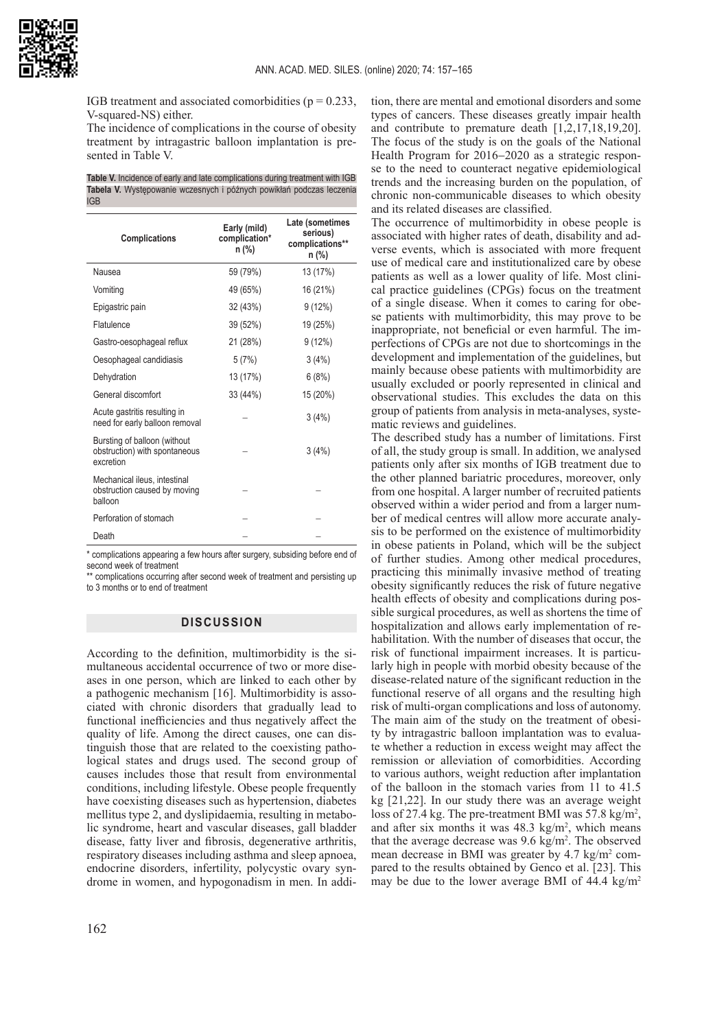

IGB treatment and associated comorbidities ( $p = 0.233$ , V-squared-NS) either.

The incidence of complications in the course of obesity treatment by intragastric balloon implantation is presented in Table V.

**Table V.** Incidence of early and late complications during treatment with IGB **Tabela V.** Występowanie wczesnych i późnych powikłań podczas leczenia IGB

| <b>Complications</b>                                                       | Early (mild)<br>complication*<br>n (%) | Late (sometimes<br>serious)<br>complications**<br>n (%) |
|----------------------------------------------------------------------------|----------------------------------------|---------------------------------------------------------|
| Nausea                                                                     | 59 (79%)                               | 13 (17%)                                                |
| Vomiting                                                                   | 49 (65%)                               | 16 (21%)                                                |
| Epigastric pain                                                            | 32 (43%)                               | 9(12%)                                                  |
| Flatulence                                                                 | 39 (52%)                               | 19 (25%)                                                |
| Gastro-oesophageal reflux                                                  | 21 (28%)                               | 9(12%)                                                  |
| Oesophageal candidiasis                                                    | 5(7%)                                  | 3(4%)                                                   |
| Dehydration                                                                | 13 (17%)                               | 6(8%)                                                   |
| General discomfort                                                         | 33 (44%)                               | 15 (20%)                                                |
| Acute gastritis resulting in<br>need for early balloon removal             |                                        | 3(4%)                                                   |
| Bursting of balloon (without<br>obstruction) with spontaneous<br>excretion |                                        | 3(4%)                                                   |
| Mechanical ileus, intestinal<br>obstruction caused by moving<br>halloon    |                                        |                                                         |
| Perforation of stomach                                                     |                                        |                                                         |
| Death                                                                      |                                        |                                                         |

\* complications appearing a few hours after surgery, subsiding before end of second week of treatment

\*\* complications occurring after second week of treatment and persisting up to 3 months or to end of treatment

# **DISCUSSION**

According to the definition, multimorbidity is the simultaneous accidental occurrence of two or more diseases in one person, which are linked to each other by a pathogenic mechanism [16]. Multimorbidity is associated with chronic disorders that gradually lead to functional inefficiencies and thus negatively affect the quality of life. Among the direct causes, one can distinguish those that are related to the coexisting pathological states and drugs used. The second group of causes includes those that result from environmental conditions, including lifestyle. Obese people frequently have coexisting diseases such as hypertension, diabetes mellitus type 2, and dyslipidaemia, resulting in metabolic syndrome, heart and vascular diseases, gall bladder disease, fatty liver and fibrosis, degenerative arthritis, respiratory diseases including asthma and sleep apnoea, endocrine disorders, infertility, polycystic ovary syndrome in women, and hypogonadism in men. In addi-

tion, there are mental and emotional disorders and some types of cancers. These diseases greatly impair health and contribute to premature death [1,2,17,18,19,20]. The focus of the study is on the goals of the National Health Program for 2016−2020 as a strategic response to the need to counteract negative epidemiological trends and the increasing burden on the population, of chronic non-communicable diseases to which obesity and its related diseases are classified.

The occurrence of multimorbidity in obese people is associated with higher rates of death, disability and adverse events, which is associated with more frequent use of medical care and institutionalized care by obese patients as well as a lower quality of life. Most clinical practice guidelines (CPGs) focus on the treatment of a single disease. When it comes to caring for obese patients with multimorbidity, this may prove to be inappropriate, not beneficial or even harmful. The imperfections of CPGs are not due to shortcomings in the development and implementation of the guidelines, but mainly because obese patients with multimorbidity are usually excluded or poorly represented in clinical and observational studies. This excludes the data on this group of patients from analysis in meta-analyses, systematic reviews and guidelines.

The described study has a number of limitations. First of all, the study group is small. In addition, we analysed patients only after six months of IGB treatment due to the other planned bariatric procedures, moreover, only from one hospital. A larger number of recruited patients observed within a wider period and from a larger number of medical centres will allow more accurate analysis to be performed on the existence of multimorbidity in obese patients in Poland, which will be the subject of further studies. Among other medical procedures, practicing this minimally invasive method of treating obesity significantly reduces the risk of future negative health effects of obesity and complications during possible surgical procedures, as well as shortens the time of hospitalization and allows early implementation of rehabilitation. With the number of diseases that occur, the risk of functional impairment increases. It is particularly high in people with morbid obesity because of the disease-related nature of the significant reduction in the functional reserve of all organs and the resulting high risk of multi-organ complications and loss of autonomy. The main aim of the study on the treatment of obesity by intragastric balloon implantation was to evaluate whether a reduction in excess weight may affect the remission or alleviation of comorbidities. According to various authors, weight reduction after implantation of the balloon in the stomach varies from 11 to 41.5 kg [21,22]. In our study there was an average weight loss of 27.4 kg. The pre-treatment BMI was  $57.8 \text{ kg/m}^2$ , and after six months it was  $48.3 \text{ kg/m}^2$ , which means that the average decrease was 9.6 kg/m<sup>2</sup>. The observed mean decrease in BMI was greater by 4.7 kg/m<sup>2</sup> compared to the results obtained by Genco et al. [23]. This may be due to the lower average BMI of  $44.4 \text{ kg/m}^2$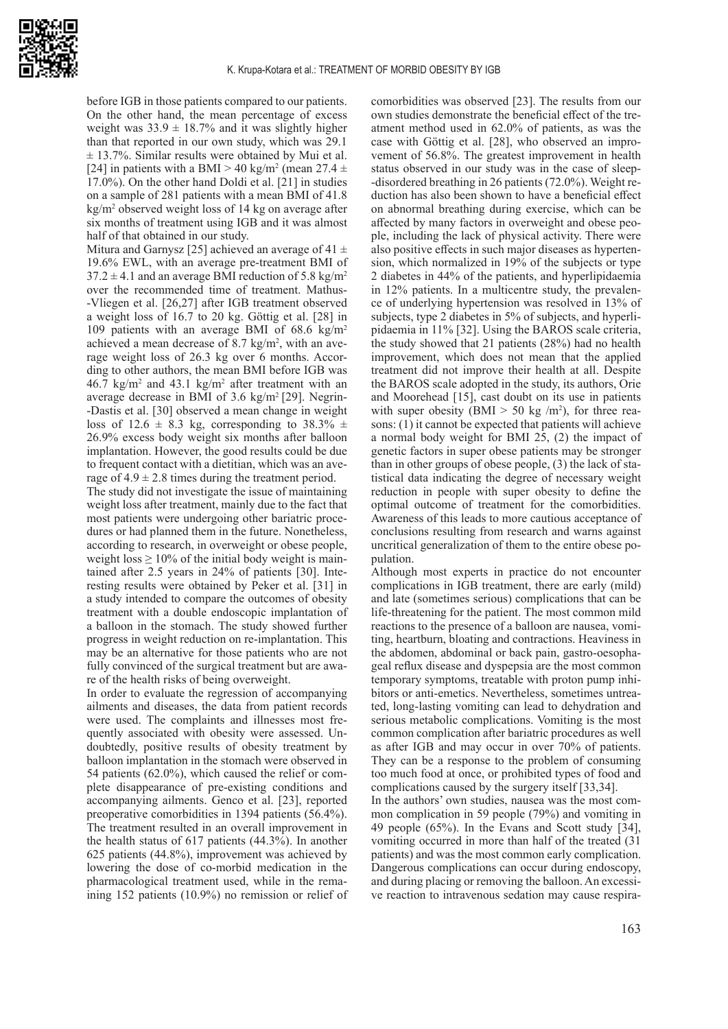

before IGB in those patients compared to our patients. On the other hand, the mean percentage of excess weight was  $33.9 \pm 18.7\%$  and it was slightly higher than that reported in our own study, which was 29.1  $\pm$  13.7%. Similar results were obtained by Mui et al. [24] in patients with a BMI > 40 kg/m<sup>2</sup> (mean 27.4  $\pm$ 17.0%). On the other hand Doldi et al. [21] in studies on a sample of 281 patients with a mean BMI of 41.8 kg/m<sup>2</sup> observed weight loss of 14 kg on average after six months of treatment using IGB and it was almost half of that obtained in our study.

Mitura and Garnysz [25] achieved an average of 41  $\pm$ 19.6% EWL, with an average pre-treatment BMI of  $37.2 \pm 4.1$  and an average BMI reduction of 5.8 kg/m<sup>2</sup> over the recommended time of treatment. Mathus- -Vliegen et al. [26,27] after IGB treatment observed a weight loss of 16.7 to 20 kg. Göttig et al. [28] in 109 patients with an average BMI of 68.6 kg/m<sup>2</sup> achieved a mean decrease of  $8.7 \text{ kg/m}^2$ , with an average weight loss of 26.3 kg over 6 months. According to other authors, the mean BMI before IGB was  $46.7 \text{ kg/m}^2$  and  $43.1 \text{ kg/m}^2$  after treatment with an average decrease in BMI of  $3.6 \text{ kg/m}^2$  [29]. Negrin--Dastis et al. [30] observed a mean change in weight loss of 12.6  $\pm$  8.3 kg, corresponding to 38.3%  $\pm$ 26.9% excess body weight six months after balloon implantation. However, the good results could be due to frequent contact with a dietitian, which was an average of  $4.9 \pm 2.8$  times during the treatment period.

The study did not investigate the issue of maintaining weight loss after treatment, mainly due to the fact that most patients were undergoing other bariatric procedures or had planned them in the future. Nonetheless, according to research, in overweight or obese people, weight loss  $\geq 10\%$  of the initial body weight is maintained after 2.5 years in 24% of patients [30]. Interesting results were obtained by Peker et al. [31] in a study intended to compare the outcomes of obesity treatment with a double endoscopic implantation of a balloon in the stomach. The study showed further progress in weight reduction on re-implantation. This may be an alternative for those patients who are not fully convinced of the surgical treatment but are aware of the health risks of being overweight.

In order to evaluate the regression of accompanying ailments and diseases, the data from patient records were used. The complaints and illnesses most frequently associated with obesity were assessed. Undoubtedly, positive results of obesity treatment by balloon implantation in the stomach were observed in 54 patients (62.0%), which caused the relief or complete disappearance of pre-existing conditions and accompanying ailments. Genco et al. [23], reported preoperative comorbidities in 1394 patients (56.4%). The treatment resulted in an overall improvement in the health status of 617 patients (44.3%). In another 625 patients (44.8%), improvement was achieved by lowering the dose of co-morbid medication in the pharmacological treatment used, while in the remaining 152 patients (10.9%) no remission or relief of

comorbidities was observed [23]. The results from our own studies demonstrate the beneficial effect of the treatment method used in 62.0% of patients, as was the case with Göttig et al. [28], who observed an improvement of 56.8%. The greatest improvement in health status observed in our study was in the case of sleep- -disordered breathing in 26 patients (72.0%). Weight reduction has also been shown to have a beneficial effect on abnormal breathing during exercise, which can be affected by many factors in overweight and obese people, including the lack of physical activity. There were also positive effects in such major diseases as hypertension, which normalized in 19% of the subjects or type 2 diabetes in 44% of the patients, and hyperlipidaemia in 12% patients. In a multicentre study, the prevalence of underlying hypertension was resolved in 13% of subjects, type 2 diabetes in 5% of subjects, and hyperlipidaemia in 11% [32]. Using the BAROS scale criteria, the study showed that 21 patients (28%) had no health improvement, which does not mean that the applied treatment did not improve their health at all. Despite the BAROS scale adopted in the study, its authors, Orie and Moorehead [15], cast doubt on its use in patients with super obesity (BMI  $>$  50 kg /m<sup>2</sup>), for three reasons: (1) it cannot be expected that patients will achieve a normal body weight for BMI 25, (2) the impact of genetic factors in super obese patients may be stronger than in other groups of obese people, (3) the lack of statistical data indicating the degree of necessary weight reduction in people with super obesity to define the optimal outcome of treatment for the comorbidities. Awareness of this leads to more cautious acceptance of conclusions resulting from research and warns against uncritical generalization of them to the entire obese population.

Although most experts in practice do not encounter complications in IGB treatment, there are early (mild) and late (sometimes serious) complications that can be life-threatening for the patient. The most common mild reactions to the presence of a balloon are nausea, vomiting, heartburn, bloating and contractions. Heaviness in the abdomen, abdominal or back pain, gastro-oesophageal reflux disease and dyspepsia are the most common temporary symptoms, treatable with proton pump inhibitors or anti-emetics. Nevertheless, sometimes untreated, long-lasting vomiting can lead to dehydration and serious metabolic complications. Vomiting is the most common complication after bariatric procedures as well as after IGB and may occur in over 70% of patients. They can be a response to the problem of consuming too much food at once, or prohibited types of food and complications caused by the surgery itself [33,34].

In the authors' own studies, nausea was the most common complication in 59 people (79%) and vomiting in 49 people (65%). In the Evans and Scott study [34], vomiting occurred in more than half of the treated (31 patients) and was the most common early complication. Dangerous complications can occur during endoscopy, and during placing or removing the balloon. An excessive reaction to intravenous sedation may cause respira-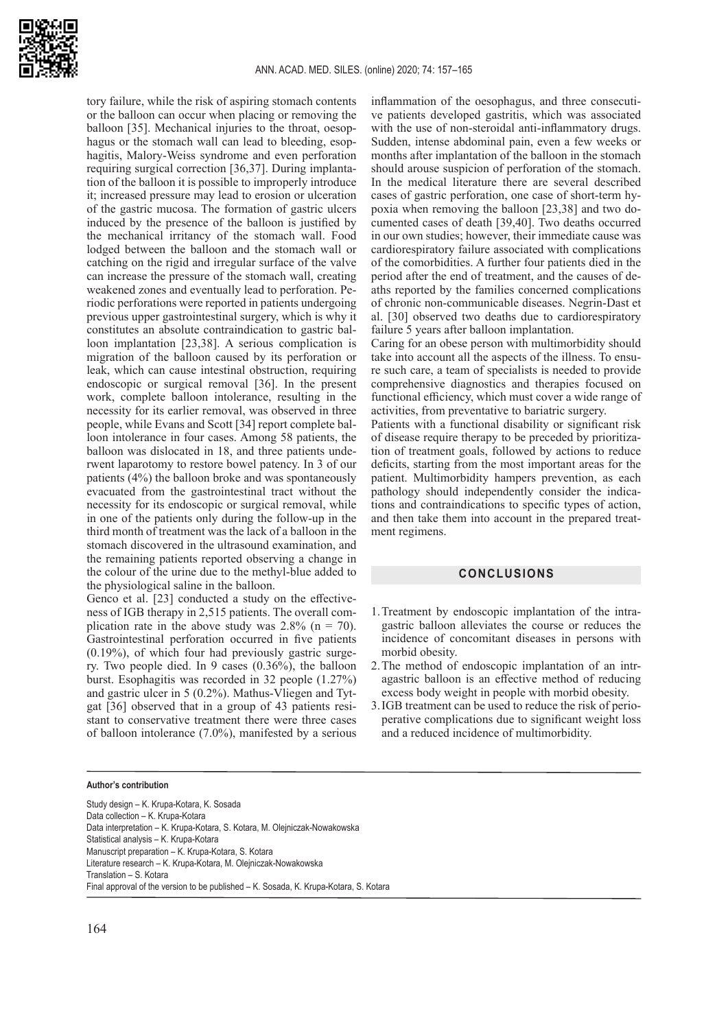

tory failure, while the risk of aspiring stomach contents or the balloon can occur when placing or removing the balloon [35]. Mechanical injuries to the throat, oesophagus or the stomach wall can lead to bleeding, esophagitis, Malory-Weiss syndrome and even perforation requiring surgical correction [36,37]. During implantation of the balloon it is possible to improperly introduce it; increased pressure may lead to erosion or ulceration of the gastric mucosa. The formation of gastric ulcers induced by the presence of the balloon is justified by the mechanical irritancy of the stomach wall. Food lodged between the balloon and the stomach wall or catching on the rigid and irregular surface of the valve can increase the pressure of the stomach wall, creating weakened zones and eventually lead to perforation. Periodic perforations were reported in patients undergoing previous upper gastrointestinal surgery, which is why it constitutes an absolute contraindication to gastric balloon implantation [23,38]. A serious complication is migration of the balloon caused by its perforation or leak, which can cause intestinal obstruction, requiring endoscopic or surgical removal [36]. In the present work, complete balloon intolerance, resulting in the necessity for its earlier removal, was observed in three people, while Evans and Scott [34] report complete balloon intolerance in four cases. Among 58 patients, the balloon was dislocated in 18, and three patients underwent laparotomy to restore bowel patency. In 3 of our patients (4%) the balloon broke and was spontaneously evacuated from the gastrointestinal tract without the necessity for its endoscopic or surgical removal, while in one of the patients only during the follow-up in the third month of treatment was the lack of a balloon in the stomach discovered in the ultrasound examination, and the remaining patients reported observing a change in the colour of the urine due to the methyl-blue added to the physiological saline in the balloon.

Genco et al. [23] conducted a study on the effectiveness of IGB therapy in 2,515 patients. The overall complication rate in the above study was  $2.8\%$  (n = 70). Gastrointestinal perforation occurred in five patients (0.19%), of which four had previously gastric surgery. Two people died. In 9 cases (0.36%), the balloon burst. Esophagitis was recorded in 32 people (1.27%) and gastric ulcer in 5 (0.2%). Mathus-Vliegen and Tytgat [36] observed that in a group of 43 patients resistant to conservative treatment there were three cases of balloon intolerance (7.0%), manifested by a serious

#### **Author's contribution**

Study design – K. Krupa-Kotara, K. Sosada Data collection – K. Krupa-Kotara Data interpretation – K. Krupa-Kotara, S. Kotara, M. Olejniczak-Nowakowska Statistical analysis – K. Krupa-Kotara Manuscript preparation – K. Krupa-Kotara, S. Kotara Literature research – K. Krupa-Kotara, M. Olejniczak-Nowakowska Translation – S. Kotara Final approval of the version to be published – K. Sosada, K. Krupa-Kotara, S. Kotara

inflammation of the oesophagus, and three consecutive patients developed gastritis, which was associated with the use of non-steroidal anti-inflammatory drugs. Sudden, intense abdominal pain, even a few weeks or months after implantation of the balloon in the stomach should arouse suspicion of perforation of the stomach. In the medical literature there are several described cases of gastric perforation, one case of short-term hypoxia when removing the balloon [23,38] and two documented cases of death [39,40]. Two deaths occurred in our own studies; however, their immediate cause was cardiorespiratory failure associated with complications of the comorbidities. A further four patients died in the period after the end of treatment, and the causes of deaths reported by the families concerned complications of chronic non-communicable diseases. Negrin-Dast et al. [30] observed two deaths due to cardiorespiratory failure 5 years after balloon implantation.

Caring for an obese person with multimorbidity should take into account all the aspects of the illness. To ensure such care, a team of specialists is needed to provide comprehensive diagnostics and therapies focused on functional efficiency, which must cover a wide range of activities, from preventative to bariatric surgery.

Patients with a functional disability or significant risk of disease require therapy to be preceded by prioritization of treatment goals, followed by actions to reduce deficits, starting from the most important areas for the patient. Multimorbidity hampers prevention, as each pathology should independently consider the indications and contraindications to specific types of action, and then take them into account in the prepared treatment regimens.

# **CONCLUSIONS**

- 1.Treatment by endoscopic implantation of the intragastric balloon alleviates the course or reduces the incidence of concomitant diseases in persons with morbid obesity.
- 2.The method of endoscopic implantation of an intragastric balloon is an effective method of reducing excess body weight in people with morbid obesity.
- 3.IGB treatment can be used to reduce the risk of perioperative complications due to significant weight loss and a reduced incidence of multimorbidity.